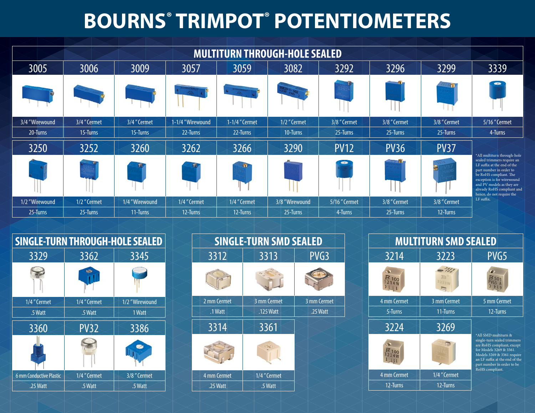# **BOURNS® TRIMPOT® POTENTIOMETERS**